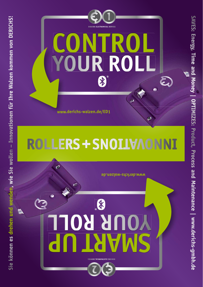



SAVES: Energy, Time and Money | OPTIMIZES: Product, Process and Maintenance | www.derichs-gmbh.de **SAVES: Energy, Time and Money | OPTIMIZES: Product, Process and Maintenance | www.derichs-gmbh.de**